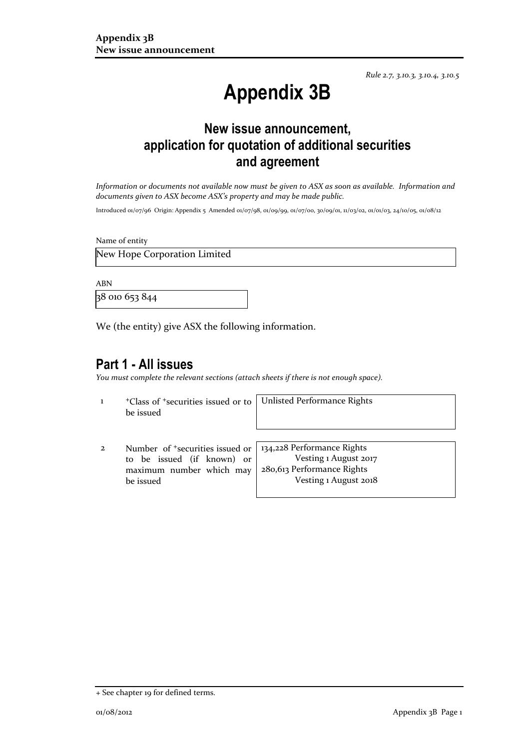*Rule 2.7, 3.10.3, 3.10.4, 3.10.5*

# **Appendix 3B**

# **New issue announcement, application for quotation of additional securities and agreement**

*Information or documents not available now must be given to ASX as soon as available. Information and documents given to ASX become ASX's property and may be made public.*

Introduced 01/07/96 Origin: Appendix 5 Amended 01/07/98, 01/09/99, 01/07/00, 30/09/01, 11/03/02, 01/01/03, 24/10/05, 01/08/12

Name of entity

New Hope Corporation Limited

ABN

38 010 653 844

We (the entity) give ASX the following information.

## **Part 1 - All issues**

*You must complete the relevant sections (attach sheets if there is not enough space).*

1 <sup>+</sup>Class of +securities issued or to be issued

Unlisted Performance Rights

2 Number of +securities issued or to be issued (if known) or maximum number which may be issued

134,228 Performance Rights Vesting 1 August 2017 280,613 Performance Rights Vesting 1 August 2018

<sup>+</sup> See chapter 19 for defined terms.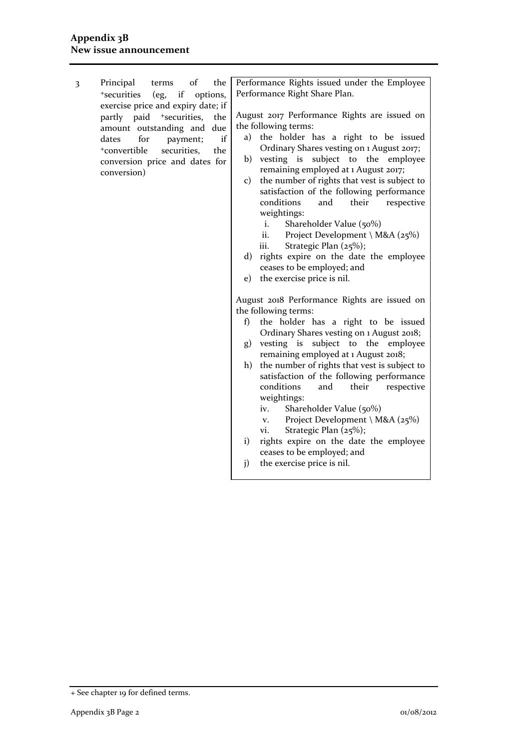3 Principal terms of the <sup>+</sup>securities (eg, if options, exercise price and expiry date; if partly paid <sup>+</sup>securities, the amount outstanding and due dates for payment; if <sup>+</sup>convertible securities, the conversion price and dates for conversion)

Performance Rights issued under the Employee Performance Right Share Plan.

August 2017 Performance Rights are issued on the following terms:

- a) the holder has a right to be issued Ordinary Shares vesting on 1 August 2017;
- b) vesting is subject to the employee remaining employed at 1 August 2017;
- c) the number of rights that vest is subject to satisfaction of the following performance conditions and their respective weightings:
	- i. Shareholder Value (50%)
	- ii. Project Development \ M&A ( $25\%$ )
	- iii. Strategic Plan (25%);
- d) rights expire on the date the employee ceases to be employed; and
- e) the exercise price is nil.

August 2018 Performance Rights are issued on the following terms:

- f) the holder has a right to be issued Ordinary Shares vesting on 1 August 2018;
- g) vesting is subject to the employee remaining employed at 1 August 2018;
- h) the number of rights that vest is subject to satisfaction of the following performance conditions and their respective weightings:
	- iv. Shareholder Value (50%)
	- v. Project Development \ M&A ( $25\%$ )
	- vi. Strategic Plan (25%);
- i) rights expire on the date the employee ceases to be employed; and
- j) the exercise price is nil.

<sup>+</sup> See chapter 19 for defined terms.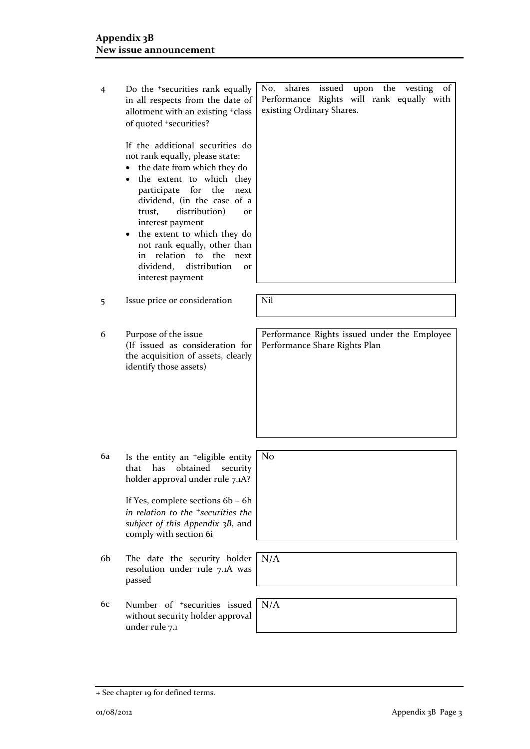- 4 Do the +securities rank equally in all respects from the date of allotment with an existing +class of quoted +securities? If the additional securities do not rank equally, please state: • the date from which they do • the extent to which they participate for the next dividend, (in the case of a trust, distribution) or interest payment • the extent to which they do not rank equally, other than in relation to the next dividend, distribution or interest payment No, shares issued upon the vesting of Performance Rights will rank equally with existing Ordinary Shares. 5 Issue price or consideration Nil 6 Purpose of the issue (If issued as consideration for the acquisition of assets, clearly identify those assets) Performance Rights issued under the Employee Performance Share Rights Plan 6a Is the entity an +eligible entity that has obtained security holder approval under rule 7.1A? If Yes, complete sections 6b – 6h *in relation to the +securities the subject of this Appendix 3B*, and comply with section 6i No 6b The date the security holder resolution under rule 7.1A was passed N/A N/A
- 6c Number of +securities issued without security holder approval under rule 7.1

<sup>+</sup> See chapter 19 for defined terms.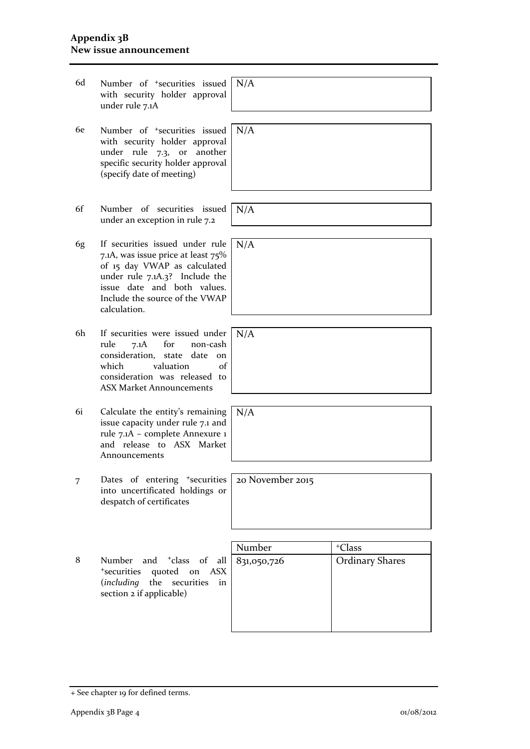- 6d Number of +securities issued with security holder approval under rule 7.1A
- 6e Number of +securities issued with security holder approval under rule 7.3, or another specific security holder approval (specify date of meeting) N/A
- 6f Number of securities issued under an exception in rule 7.2
- 6g If securities issued under rule 7.1A, was issue price at least 75% of 15 day VWAP as calculated under rule 7.1A.3? Include the issue date and both values. Include the source of the VWAP calculation. N/A
- 6h If securities were issued under rule 7.1A for non-cash consideration, state date on<br>which valuation of valuation of consideration was released to ASX Market Announcements
- 6i Calculate the entity's remaining issue capacity under rule 7.1 and rule 7.1A – complete Annexure 1 and release to ASX Market Announcements
- 7 Dates of entering <sup>+</sup>securities into uncertificated holdings or despatch of certificates
- 8 Number and <sup>+</sup>class of all <sup>+</sup>securities quoted on ASX (*including* the securities in section 2 if applicable)

| <sup>+</sup> Class     |
|------------------------|
| <b>Ordinary Shares</b> |
|                        |
|                        |
|                        |
|                        |
|                        |

 $N/A$ 

N/A

 $N/A$ 

| $\rm N/A$ |  |  |  |
|-----------|--|--|--|
|           |  |  |  |
|           |  |  |  |
|           |  |  |  |

20 November 2015

+ See chapter 19 for defined terms.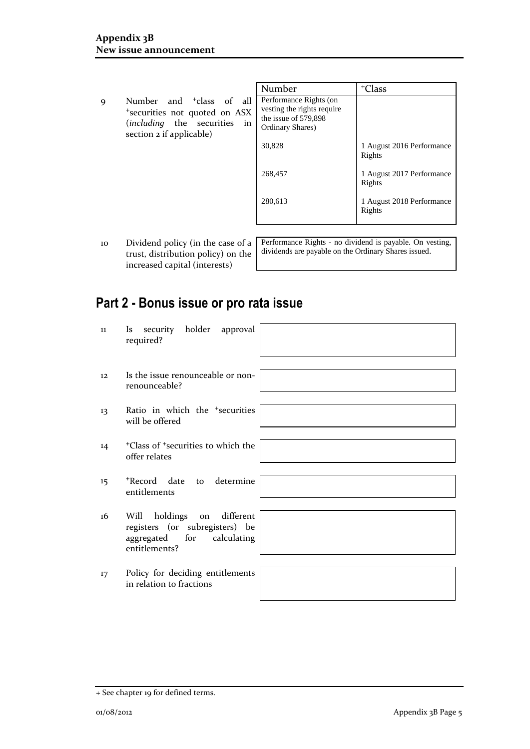- Number | +Class 9 Number and <sup>+</sup>class of all <sup>+</sup>securities not quoted on ASX (*including* the securities in  $\text{section 2}$  if applicable) Performance Rights (on vesting the rights require the issue of 579,898 Ordinary Shares) 30,828 268,457 280,613 1 August 2016 Performance Rights 1 August 2017 Performance Rights 1 August 2018 Performance Rights
- 10 Dividend policy (in the case of a trust, distribution policy) on the increased capital (interests)

Performance Rights - no dividend is payable. On vesting, dividends are payable on the Ordinary Shares issued.

# **Part 2 - Bonus issue or pro rata issue**

| 11 | security holder approval<br>Is<br>required?                                                                          |  |
|----|----------------------------------------------------------------------------------------------------------------------|--|
| 12 | Is the issue renounceable or non-<br>renounceable?                                                                   |  |
| 13 | Ratio in which the <sup>+</sup> securities<br>will be offered                                                        |  |
| 14 | <sup>+</sup> Class of <sup>+</sup> securities to which the<br>offer relates                                          |  |
| 15 | *Record date to determine<br>entitlements                                                                            |  |
| 16 | holdings<br>different<br>Will<br>on<br>registers (or subregisters) be<br>aggregated for calculating<br>entitlements? |  |
| 17 | Policy for deciding entitlements<br>in relation to fractions                                                         |  |

<sup>+</sup> See chapter 19 for defined terms.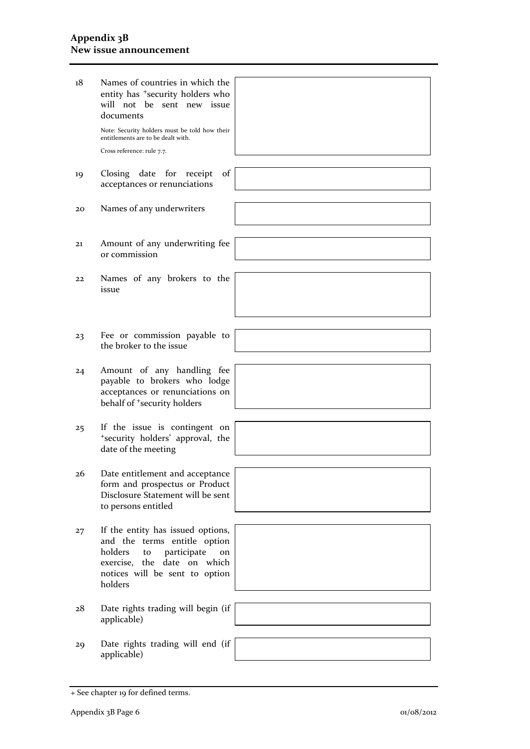#### **Appendix 3B New issue announcement**

| 18 | Names of countries in which the<br>entity has <sup>+</sup> security holders who<br>will not be sent new issue<br>documents                                                          |  |
|----|-------------------------------------------------------------------------------------------------------------------------------------------------------------------------------------|--|
|    | Note: Security holders must be told how their<br>entitlements are to be dealt with.<br>Cross reference: rule 7.7.                                                                   |  |
|    |                                                                                                                                                                                     |  |
| 19 | Closing date for<br>receipt<br>of<br>acceptances or renunciations                                                                                                                   |  |
| 20 | Names of any underwriters                                                                                                                                                           |  |
|    |                                                                                                                                                                                     |  |
| 21 | Amount of any underwriting fee<br>or commission                                                                                                                                     |  |
|    |                                                                                                                                                                                     |  |
| 22 | Names of any brokers to the<br>issue                                                                                                                                                |  |
|    |                                                                                                                                                                                     |  |
|    |                                                                                                                                                                                     |  |
| 23 | Fee or commission payable to<br>the broker to the issue                                                                                                                             |  |
|    |                                                                                                                                                                                     |  |
| 24 | Amount of any handling fee<br>payable to brokers who lodge<br>acceptances or renunciations on<br>behalf of <sup>+</sup> security holders                                            |  |
|    |                                                                                                                                                                                     |  |
| 25 | If the issue is contingent on<br>*security holders' approval, the<br>date of the meeting                                                                                            |  |
|    |                                                                                                                                                                                     |  |
| 26 | Date entitlement and acceptance<br>form and prospectus or Product<br>Disclosure Statement will be sent<br>to persons entitled                                                       |  |
|    |                                                                                                                                                                                     |  |
| 27 | If the entity has issued options,<br>and the terms entitle option<br>holders<br>participate<br>to<br>on<br>exercise, the date on which<br>notices will be sent to option<br>holders |  |
|    |                                                                                                                                                                                     |  |
| 28 | Date rights trading will begin (if<br>applicable)                                                                                                                                   |  |
|    |                                                                                                                                                                                     |  |
| 29 | Date rights trading will end (if<br>applicable)                                                                                                                                     |  |

<sup>+</sup> See chapter 19 for defined terms.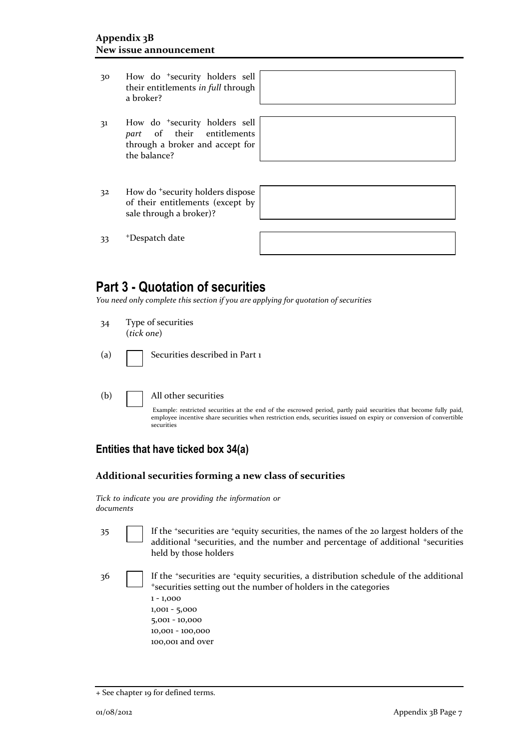- 30 How do <sup>+</sup>security holders sell their entitlements *in full* through a broker?
- 31 How do <sup>+</sup>security holders sell *part* of their entitlements through a broker and accept for the balance?

|  | <u> 1989 - Andrea Andrew Maria (h. 1989).</u> |  |
|--|-----------------------------------------------|--|
|  |                                               |  |
|  |                                               |  |
|  |                                               |  |
|  |                                               |  |
|  |                                               |  |
|  |                                               |  |
|  |                                               |  |
|  |                                               |  |
|  |                                               |  |
|  |                                               |  |
|  |                                               |  |
|  |                                               |  |
|  |                                               |  |
|  |                                               |  |
|  |                                               |  |
|  |                                               |  |
|  |                                               |  |
|  |                                               |  |
|  |                                               |  |

32 How do <sup>+</sup>security holders dispose of their entitlements (except by sale through a broker)?

33 <sup>+</sup>Despatch date

## **Part 3 - Quotation of securities**

*You need only complete this section if you are applying for quotation of securities*

- 34 Type of securities (*tick one*)
- (a) **Securities described in Part 1**
- (b) All other securities

Example: restricted securities at the end of the escrowed period, partly paid securities that become fully paid, employee incentive share securities when restriction ends, securities issued on expiry or conversion of convertible securities

### **Entities that have ticked box 34(a)**

#### **Additional securities forming a new class of securities**

*Tick to indicate you are providing the information or documents*

- 35 If the <sup>+</sup>securities are <sup>+</sup>equity securities, the names of the 20 largest holders of the additional <sup>+</sup>securities, and the number and percentage of additional <sup>+</sup>securities held by those holders
- 

36 If the <sup>+</sup>securities are <sup>+</sup>equity securities, a distribution schedule of the additional <sup>+</sup>securities setting out the number of holders in the categories 1 - 1,000 1,001 - 5,000

5,001 - 10,000 10,001 - 100,000 100,001 and over

<sup>+</sup> See chapter 19 for defined terms.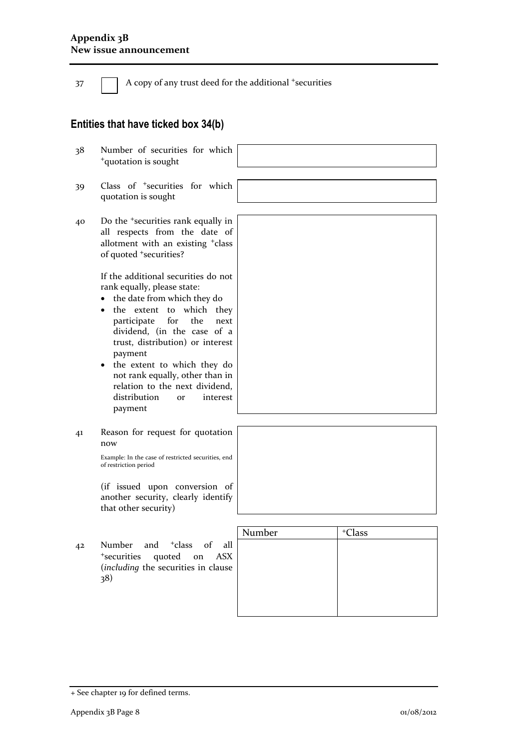37 A copy of any trust deed for the additional +securities

## **Entities that have ticked box 34(b)**

- 38 Number of securities for which <sup>+</sup>quotation is sought
- 39 Class of <sup>+</sup>securities for which quotation is sought
- 40 Do the <sup>+</sup>securities rank equally in  $\lceil$ all re allotm of quo

If the additional securities do not rank equally, please state:

- the date from which they do
- the extent to which they participate for the next dividend, (in the case of a trust, distribution) or interest payment
- the extent to which they do not rank equally, other than in relation to the next dividend, distribution or interest payment
- 41 Reason for request for quotation now

Example: In the case of restricted securities, end of restriction period

(if issued upon conversion of another security, clearly identify that other security)

42 Number and <sup>+</sup>class of all <sup>+</sup>securities quoted on ASX (*including* the securities in clause 38)

| Number | <sup>+</sup> Class |
|--------|--------------------|
|        |                    |
|        |                    |
|        |                    |
|        |                    |
|        |                    |
|        |                    |

| spects from the date of                 |
|-----------------------------------------|
| ent with an existing <sup>+</sup> class |
| sted <sup>+</sup> securities?           |

- -



<sup>+</sup> See chapter 19 for defined terms.